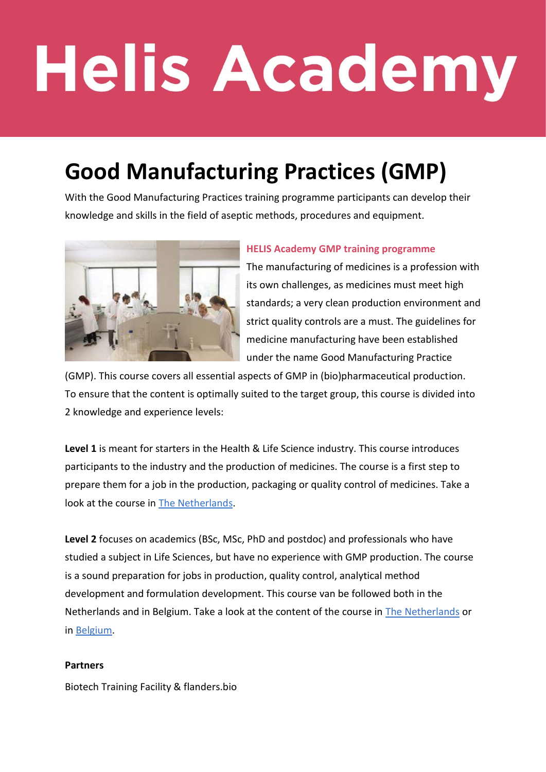# **Helis Academy**

### **Good Manufacturing Practices (GMP)**

With the Good Manufacturing Practices training programme participants can develop their knowledge and skills in the field of aseptic methods, procedures and equipment.



#### **HELIS Academy GMP training programme**

The manufacturing of medicines is a profession with its own challenges, as medicines must meet high standards; a very clean production environment and strict quality controls are a must. The guidelines for medicine manufacturing have been established under the name Good Manufacturing Practice

(GMP). This course covers all essential aspects of GMP in (bio)pharmaceutical production. To ensure that the content is optimally suited to the target group, this course is divided into 2 knowledge and experience levels:

**Level 1** is meant for starters in the Health & Life Science industry. This course introduces participants to the industry and the production of medicines. The course is a first step to prepare them for a job in the production, packaging or quality control of medicines. Take a look at the course in The Netherlands.

**Level 2** focuses on academics (BSc, MSc, PhD and postdoc) and professionals who have studied a subject in Life Sciences, but have no experience with GMP production. The course is a sound preparation for jobs in production, quality control, analytical method development and formulation development. This course van be followed both in the Netherlands and in Belgium. Take a look at the content of the course in The Netherlands or in Belgium.

#### **Partners**

Biotech Training Facility & flanders.bio